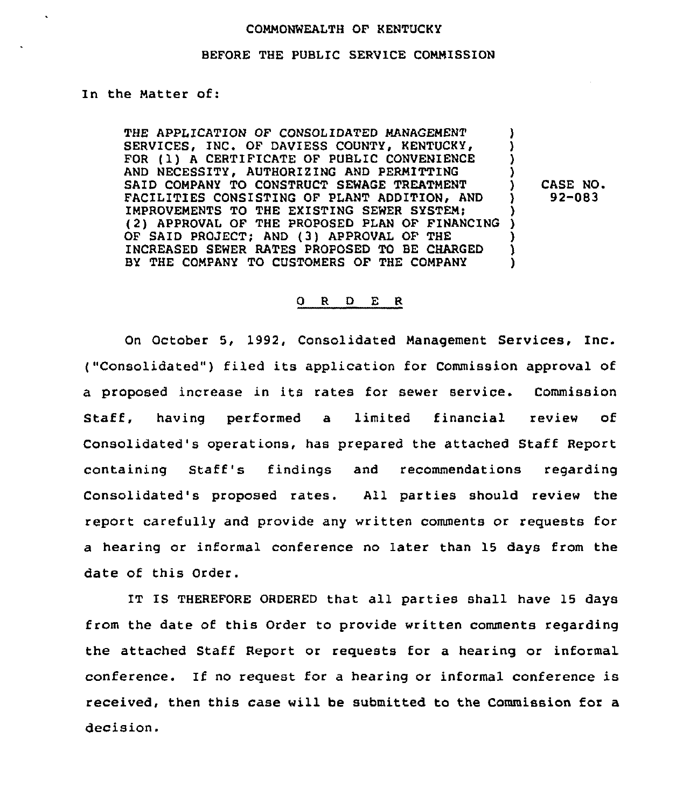#### COMMONWEALTH OF KENTUCKY

#### BEFORE THE PUBLIC SERVICE COMMISSION

In the Matter of:

THE APPLICATION OF CONSOLIDATED MANAGEMENT SERVICES, INC. OF DAVIESS COUNTY, KENTUCKY, FOR (1) A CERTIFICATE OF PUBLIC CONVENIENCE AND NECESSITY, AUTHORIZING AND PERMITTING SAID COMPANY TO CONSTRUCT SEWAGE TREATMENT FACILITIES CONSISTING OF PLANT ADDITION, AND IMPROVEMENTS TO THE EXISTING SEWER SYSTEM;  $(2)$  Approval of the proposed plan of financing ) (2) APPROVAL OF THE PROPOSED PLAN OF FINANCING OF SAID PROJECT; AND (3) APPROVAL OF THE  $\qquad$  )<br>INCREASED SEWER RATES PROPOSED TO BE CHARGED INCREASED SEWER RATES PROPOSED TO BE CHARGED ) BY THE COMPANY TO CUSTOMERS OF THE COMPANY

CASE NO. 92-083

#### 0 R <sup>D</sup> E R

On October 5, 1992, Consolidated Management Services, Inc. ("Consolidated") filed its application for Commission approval of a proposed increase in its rates for sewer service. Commission Staff, having performed a limited financial review of Consolidated's operations, has prepared the attached Staff Report containing Staff's findings and recommendations regarding Consolidated's proposed rates. All parties should review the report carefully and provide any written comments or requests for a hearing or informal conference no later than 15 days from the date of this Order.

IT IS THEREFORE ORDERED that all parties shall have 15 days from the date of this Order to provide written comments regarding the attached Staff Report or requests for a hearing or informal conference. If no request for a hearing or informal conference is received, then this case will be submitted to the Commission for a decision.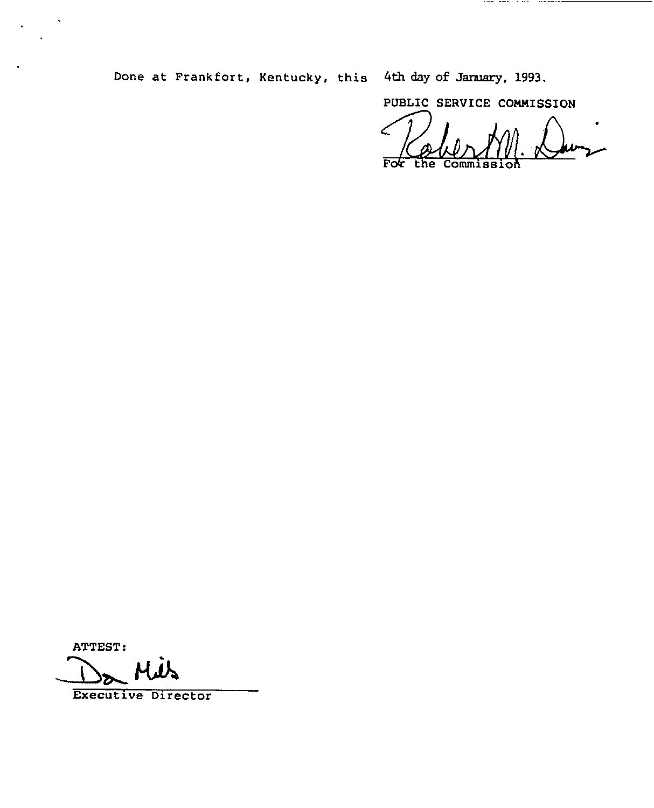Done at Frankfort, Kentucky, this 4th day of January, 1993.

PUBLIC SERVICE COMMISSION

 $F$ o $F$ 

ATTEST:

ATTEST:<br>Da Mils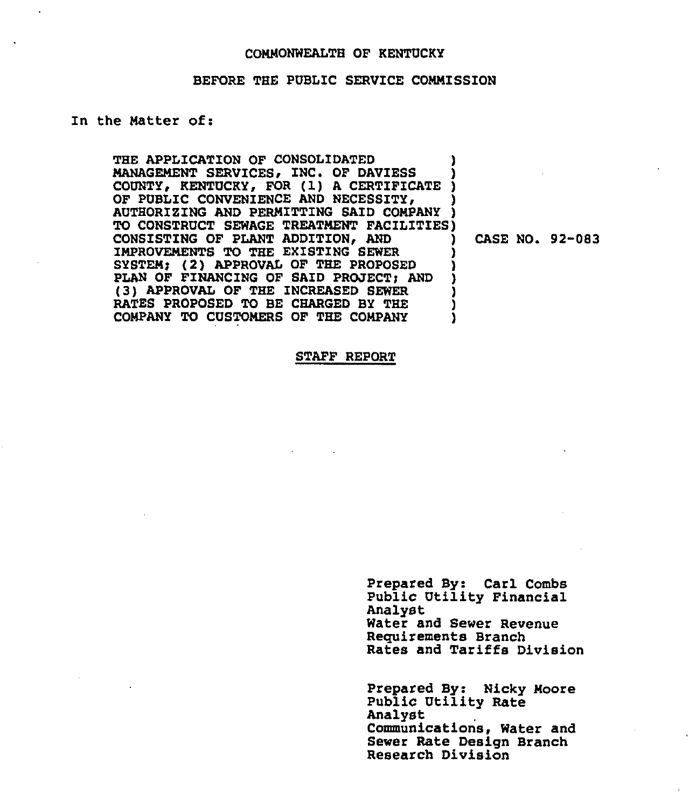### COMMONWEALTH OF KENTUCKY

#### BEFORE THE PUBLIC SERVICE COMMISSION

### In the Matter of:

THE APPLICATION OF CONSOLIDATED MANAGEMENT SERVICES, INC. OF DAVIESS MANAGEMENT SERVICES, INC. OF DAVIESS )<br>COUNTY, KENTUCKY, FOR (1) A CERTIFICATE )<br>OF DIBLES CONTENTINGS AND NEGROSTELL OF PUBLIC CONVENIENCE AND NECESSITY, AND PERMITTING SAID COMPANY TO CONSTRUCT SEWAGE TREATMENT FACILITIES) CONSISTING OF PLANT ADDITION, AND IMPROVEMENTS TO THE EXISTING SEWER SYSTEM; (2) APPROVAL OF THE PROPOSED PLAN OF FINANCING OF SAID PROJECT; AND (3) APPROVAL OF THE INCREASED SEWER RATES PROPOSED TO BE CHARGED BY THE COMPANY TO CUSTOMERS OF THE COMPANY ) ) ) ) ) ) ) ) ) )

) CASE NO. 92-083

#### STAFF REPORT

Prepared By: Carl Combs Public Utility Financial Analyst Water and Sewer Revenue Requirements Branch Rates and Tariffs Division

Prepared By: Nicky Moore PubliC Utility Rate Analyst Communications, Water and Sewer Rate Design Branch Research Division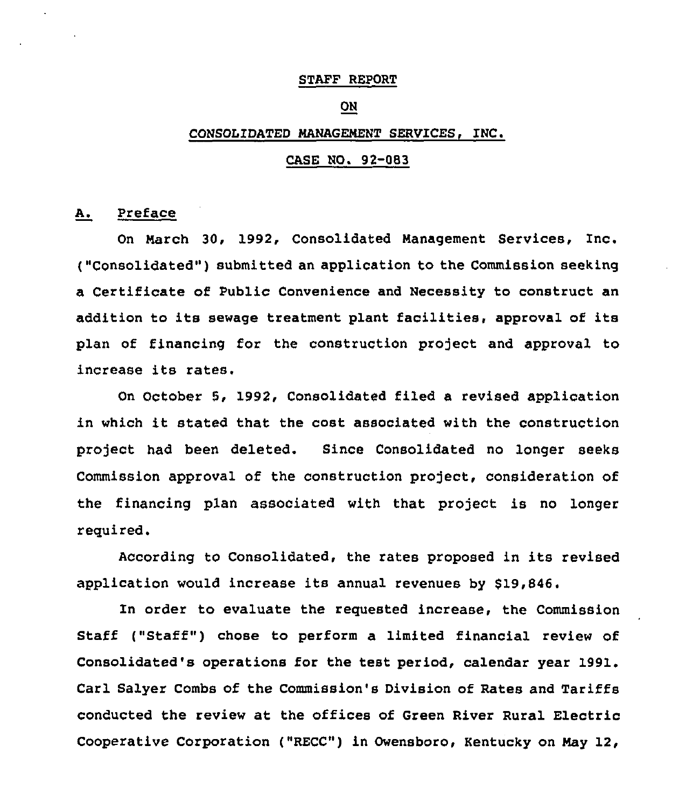#### STAFF REPORT

# ON

### CONSOLIDATED MANAGENENT SERVICES,

# CASE NO. 92-083

### A. Preface

On Narch 30, 1992, Consolidated Management Services, Inc. ("Consolidated"} submitted an application to the Commission seeking a Certificate of Public Convenience and Necessity to construct an addition to its sewage treatment plant facilities, approval of its plan of financing for the construction project and approval to increase its rates,

On October 5, 1992, Consolidated filed a revised application in which it stated that the cost associated with the construction project had been deleted. Since Consolidated no longer seeks Commission approval of the construction project, consideration of the financing plan associated with that project is no longer required.

According to Consolidated, the rates proposed in its revised application would increase its annual revenues by \$19,846.

In order to evaluate the requested increase, the Commission Staff ("Staff") chose to perform a limited financial review of Consolidated's operations for the test period, calendar year 1991. Carl Salyer Combs of the Commission's Division of Rates and Tariffs conducted the review at the offices of Green River Rural Electric Cooperative Corporation ("RECC") in Owensboro, Kentucky on Nay 12,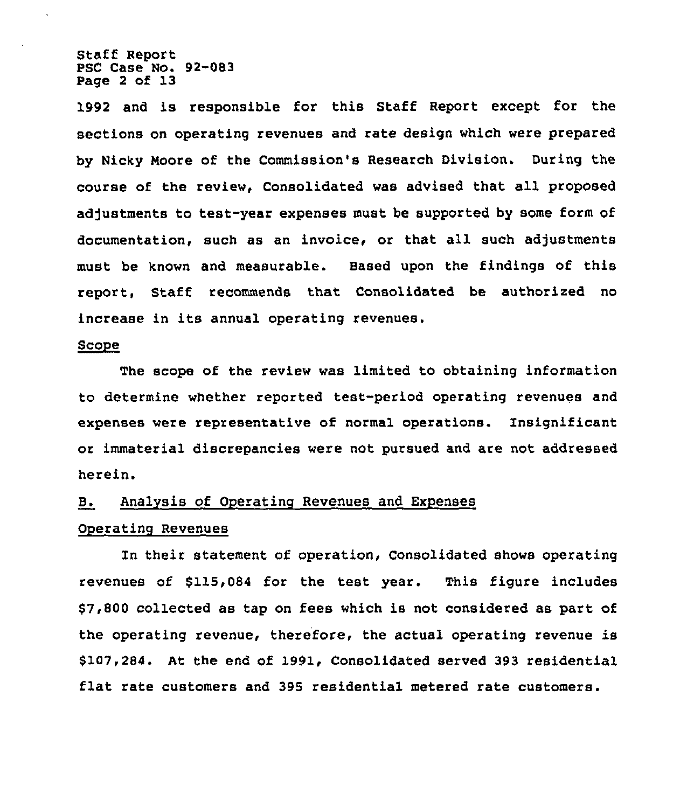Staff Report PSC Case No. 92-083 Page 2 of 13

1992 and is responsible for this Staff Report except for the sections on operating revenues and rate design which were prepared by Nicky Moore of the Commission's Research Division. During the course of the review, Consolidated was advised that all proposed adjustments to test-year expenses must be supported by some form of documentation, such as an invoice, or that all such adjustments must be known and measurable. Based upon the findings of this report, Staff recommends that Consolidated be authorized no increase in its annual operating revenues.

### Scope

The scope of the review was limited to obtaining information to determine whether reported test-period operating revenues and expenses were representative of normal operations. Insignificant or immaterial discrepancies were not pursued and are not addressed herein.

### B. Analysis of Operating Revenues and Expenses

### Operating Revenues

In their statement of operation, Consolidated shows operating revenues of \$115,084 for the test year. This figure includes \$7,800 collected as tap on fees which is not considered as part of the operating revenue, therefore, the actual operating revenue is \$107,284. At the end of 1991, Consolidated served 393 residential flat rate customers and 395 residential metered rate customers.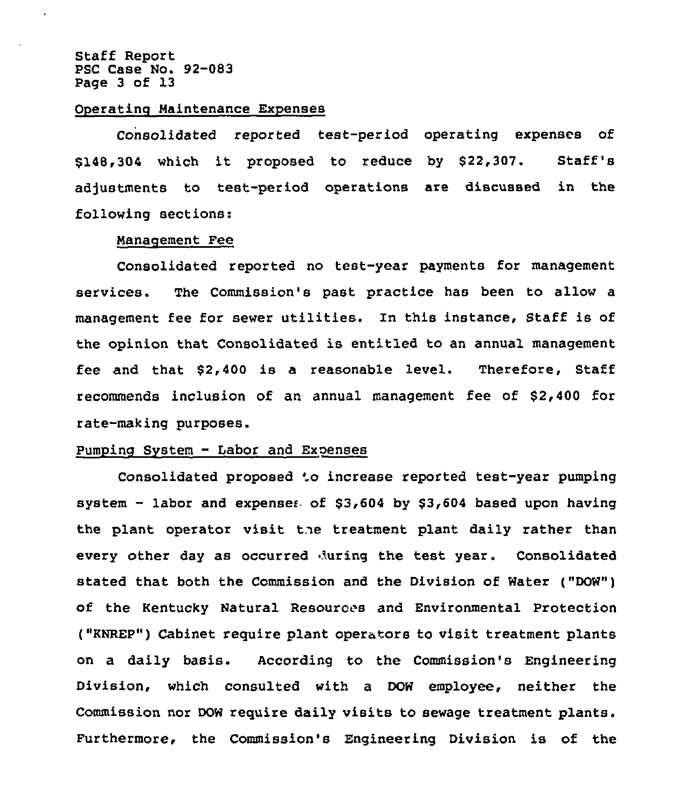Staff Report PSC Case No. 92-083 Page 3 of 13

### OPerating Maintenance Expenses

Consolidated reported test-period operating expenses of \$148,304 which it proposed to reduce by \$22,307. Staff's adjustments to test-period operations are discussed in the following sections:

#### Manaqement Fee

Consolidated reported no test-year payments for management services. The Commission's past practice has been to allow a management fee for sewer utilities. In this instance, Staff is of the opinion that Consolidated is entitled to an annual management fee and that \$2,400 is a reasonable level. Therefore, Staff recommends inclusion of an annual management fee of \$2,400 for rate-making purposes.

# Pumping System — Labor and Exoenses

Consolidated proposed 'o increase reported test-year pumpin system  $-$  labor and expense $\epsilon_0$  of \$3,604 by \$3,604 based upon having the plant operator visit the treatment plant daily rather than every other day as occurred luring the test year. Consolidated stated that both the Commission and the Division of Water ("DOW") of the Kentucky Natural Resources and Environmental Protection ("KNREP") Cabinet require plant operators to visit treatment plants on a daily basis. According to the Commission's Engineering Division, which consulted with a DOW employee, neither the Commission nor DOW require daily visits to sewage treatment plants. Furthermore, the Commission's Engineering Division is of the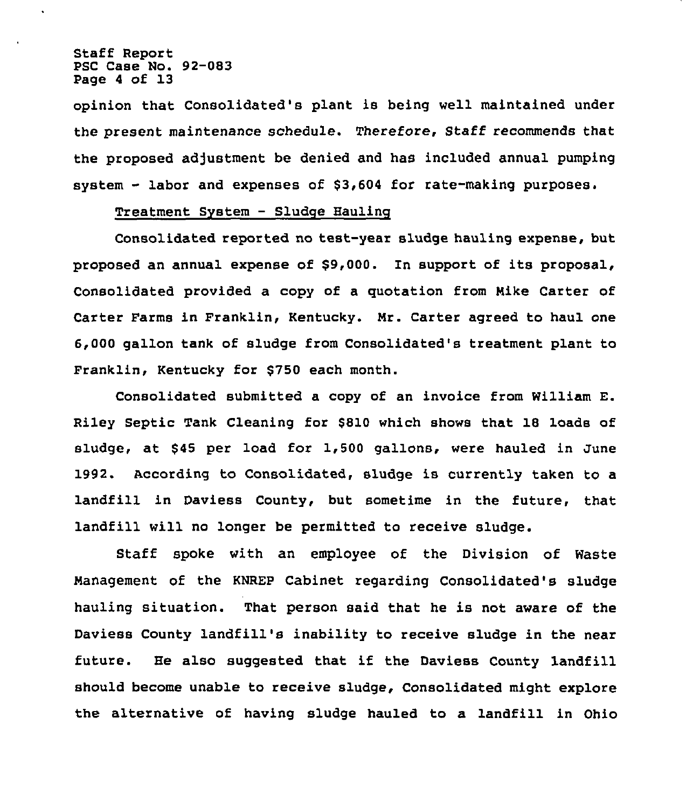Staff Report PSC Case No. 92-083 Page <sup>4</sup> of 13

opinion that Consolidated's plant is being well maintained under the present maintenance schedule. Therefore, Staff recommends that the proposed adjustment be denied and has included annual pumping system - labor and expenses of \$3,604 for rate-making purposes.

# Treatment System — Sludge Hauling

Consolidated reported no test-year sludge hauling expense, but proposed an annual expense of \$9,000. ln support of its proposal, Consolidated provided a copy of a quotation from Nike Carter of Carter Farms in Franklin, Kentucky. Nr. Carter agreed to haul one 6,000 gallon tank of sludge from Consolidated's treatment plant to Franklin, Kentucky for \$750 each month.

Consolidated submitted a copy of an invoice from William E. Riley Septic Tank Cleaning for \$810 which shows that 18 loads of sludge, at \$45 per load for 1,500 gallons, were hauled in June 1992. According to Consolidated, sludge is currently taken to a landfill in Daviess County, but sometime in the future, that landfill will no longer be permitted to receive sludge.

Staff spoke with an employee of the Division of Waste Nanagement of the KNREP Cabinet regarding Consolidated's sludge hauling situation. That person said that he is not aware of the Daviess County landfill's inability to receive sludge in the near future. He also suggested that if the Daviess County landfill should become unable to receive sludge, Consolidated might explore the alternative of having sludge hauled to a landfill in Ohio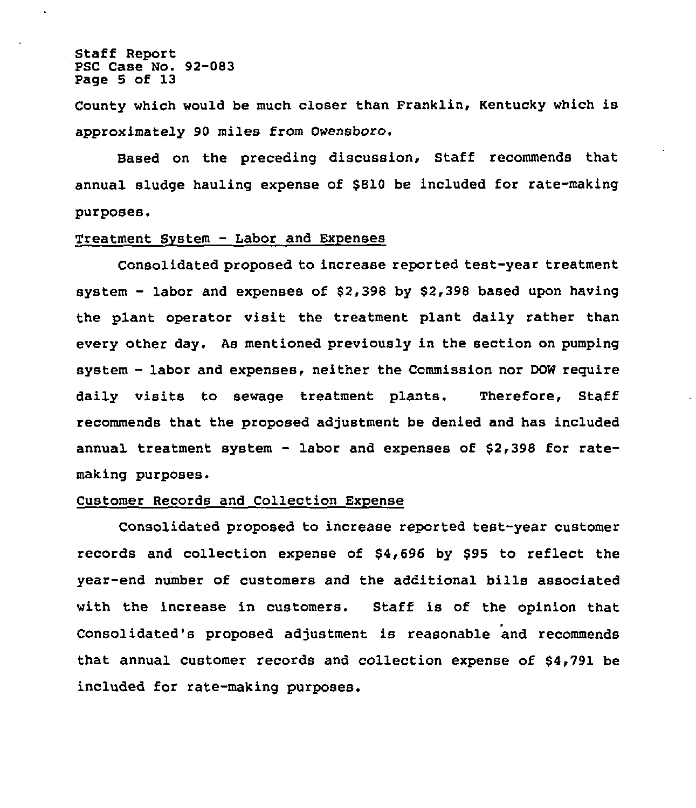Staff Report PSC Case No. 92-083 Page 5 of 13

County which would be much closer than Franklin, Kentucky which is approximately 90 miles from Owensboro.

Based on the preceding discussion, Staff recommends that annual sludge hauling expense of \$810 be included for rate-making purposes.

### Treatment System — Labor and Expenses

Consolidated proposed to increase reported test-year treatment system —labor and expenses of \$2,398 by \$2,398 based upon having the plant operator visit the treatment plant daily rather than every other day. As mentioned previously in the section on pumping system —labor and expenses, neither the Commission nor DOW require daily visits to sewage treatment plants. Therefore, Staff recommends that the proposed adjustment be denied and has included annual treatment system — labor and expenses of \$2,398 for ratemaking purposes.

# Customer Records and Collection Expense

Consolidated proposed to increase reported test-year customer records and collection expense of \$4,696 by \$95 to reflect the year-end number of customers and the additional bills associated with the increase in customers. Staff is of the opinion that Consolidated's proposed adjustment is reasonable and recommends that annual customer records and collection expense of \$4,791 be included for rate-making purposes.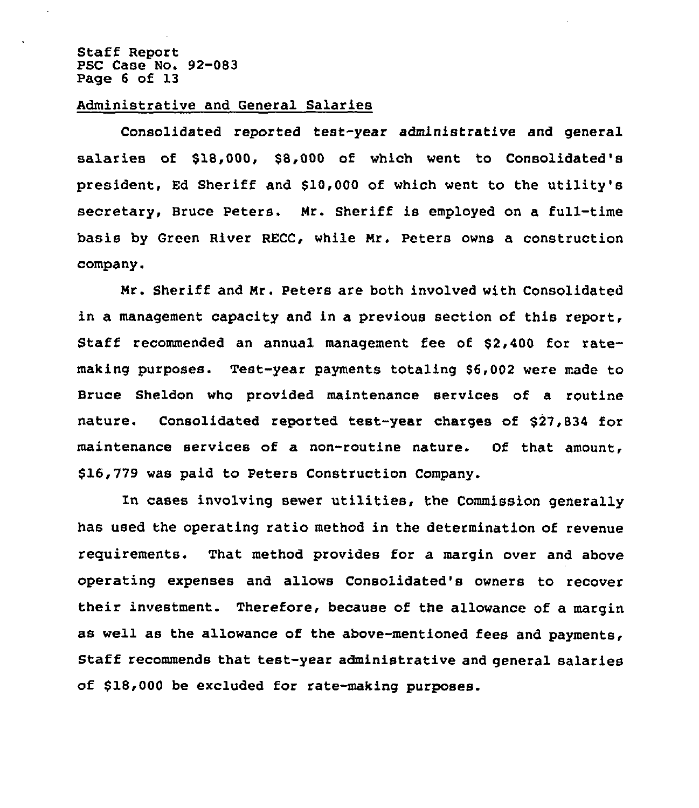### Staff Report PSC Case No. 92-083 Page 6 of 13

# Administrative and General Salaries

Consolidated reported test-year administrative and general salaries of \$18,000, \$8,000 of which went to Consolidated's president, Ed Sheriff and \$10,000 of which went to the utility's secretary, Bruce Peters. Mr. Sheriff is employed on a full-time basis by Green River RECC, while Mr. Peters owns a construction company.

Mr. Sheriff and Mr. Peters are both involved with Consolidated in a management capacity and in a previous section of this report, Staff recommended an annual management fee of \$2,400 for ratemaking purposes. Test-year payments totaling \$6,002 were made to Bruce Sheldon who provided maintenance services of a routine nature. Consolidated reported test-year charges of \$27,834 for maintenance services of a non-routine nature. Of that amount, \$16,779 was paid to Peters Construction Company.

In cases involving sewer utilities, the Commission generally has used the operating ratio method in the determination of revenue requirements. That method provides for a margin over and above operating expenses and allows Consolidated's owners to recover their investment. Therefore, because of the allowance of a margin as well as the allowance of the above-mentioned fees and payments, Staff recommends that test-year administrative and general salaries of \$18,000 be excluded for rate-making purposes.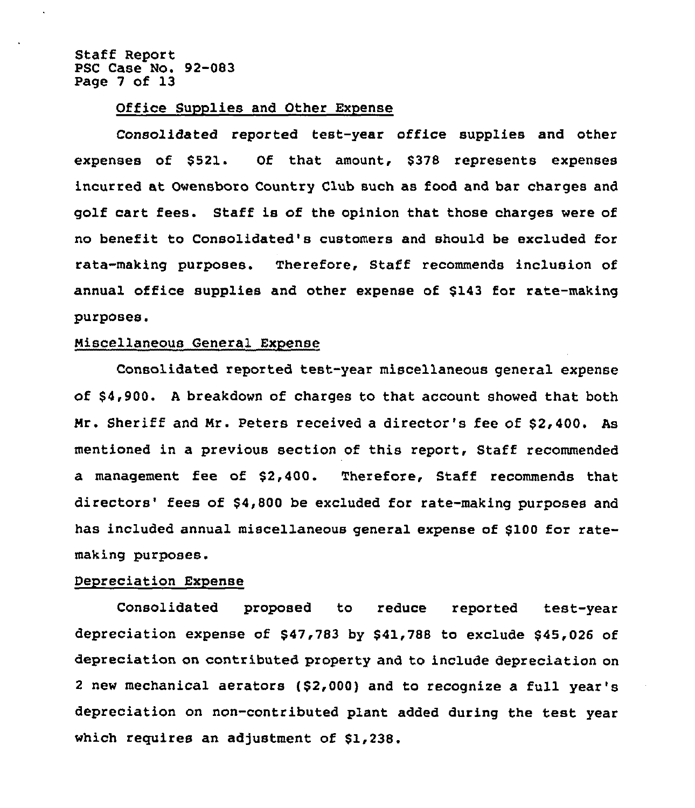Staff Report PSC Case No. 92-083 Page 7 of 13

### Office Supplies and Other Expense

Consolidated reported test-year office supplies and other expenses of \$521. Of that amount, \$378 represents expenses incurred at Owensboro Country Club such as food and bar charges and golf cart fees. Staff is of the opinion that those charges were of no benefit to Consolidated's customers and should be excluded for rata-making purposes. Therefore, Staff recommends inclusion of annual office supplies and other expense of \$143 for rate-making purposes.

### Miscellaneous General Expense

Consolidated reported test-year miscellaneous general expense of \$4,900. A breakdown of charges to that account showed that both Mr. Sheriff and Mr. Peters received a director's fee of \$2,400. As mentioned in a previous section of this report, Staff recommended a management fee of \$2,400. Therefore, Staff recommends that directors' fees of \$4,800 be excluded for rate-making purposes and has included annual miscellaneous general expense of \$100 for ratemaking purposes.

### Depreciation Expense

Consolidated proposed to reduce reported test-year depreciation expense of \$47,783 by \$41,788 to exclude \$45,026 of depreciation on contributed property and to include depreciation on 2 new mechanical aerators  $( $2,000)$  and to recognize a full year's depreciation on non-contributed plant added during the test year which requires an adjustment of \$1,238.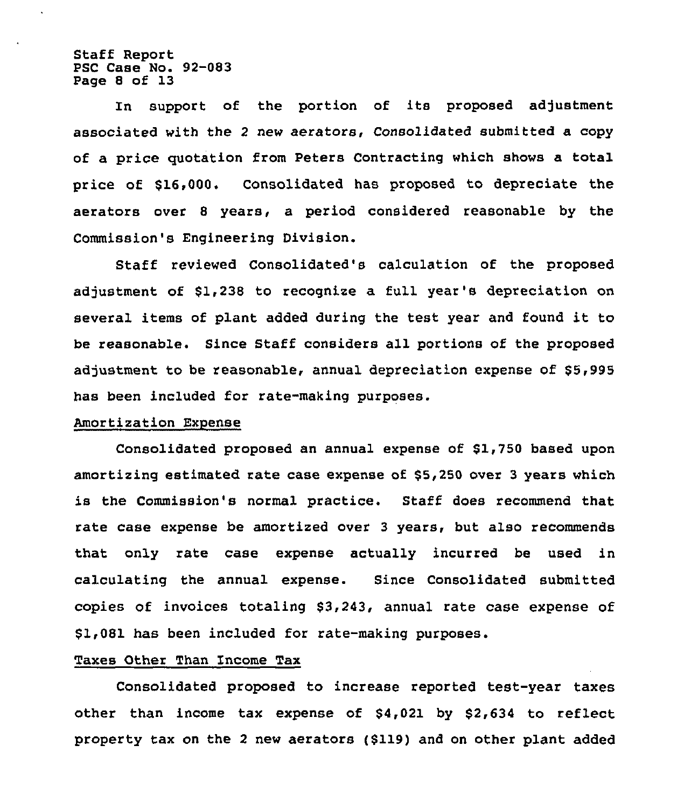Staff Report PSC Case No. 92-083 Page 8 of 13

In support of the portion of its proposed adjustment associated with the 2 new aerators, Consolidated submitted a copy of a price quotation from Peters Contracting which shows a total price of \$16,000. Consolidated has proposed to depreciate the aerators over <sup>8</sup> years, a period considered reasonable by the Commission's Engineering Division.

Staff reviewed Consolidated's calculation of the proposed adjustment of \$1,238 to recognize a full year's depreciation on several items of plant added during the test year and found it to be reasonable. Since Staff considers all portions of the proposed adjustment to be reasonable, annual depreciation expense of \$5,995 has been included for rate-making purposes.

#### Amortization Expense

Consolidated proposed an annual expense of \$1,750 based upon amortizing estimated rate case expense of \$5,250 over <sup>3</sup> years which is the Commission's normal practice. Staff does recommend that rate case expense be amortized over 3 years, but also recommends that only rate case expense actually incurred be used in calculating the annual expense. Since Consolidated submitted copies of invoices totaling \$3,243, annual rate case expense of \$1,081 has been included for rate-making purposes.

## Taxes Other Than Income Tax

Consolidated proposed to increase reported test-year taxes other than income tax expense of \$4,021 by \$2,634 to reflect property tax on the <sup>2</sup> new aerators (\$119) and on other plant added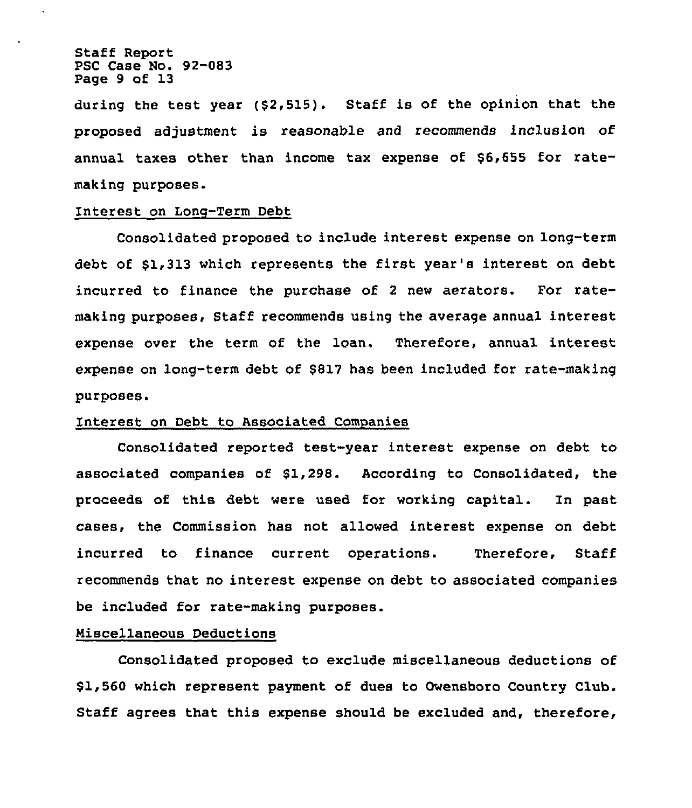Staff Report PSC Case No. 92-083 Page 9 of 13

during the test year (\$2,515). Staff is of the opinion that the proposed adjustment is reasonable and recommends inclusion of annual taxes other than income tax expense of \$6,655 for ratemaking purposes.

# Interest on Long-Term Debt

Consolidated proposed to include interest expense on long-term debt of \$1,313 which represents the first year's interest on debt incurred to finance the purchase of <sup>2</sup> new aerators. For ratemaking purposes, Staff recommends using the average annual interest expense over the term of the loan. Therefore, annual interest expense on long-term debt of \$817 has been included for rate-making purposes.

### Interest on Debt to Associated Companies

Consolidated reported test-year interest expense on debt to associated companies of \$1,298. According to Consolidated, the proceeds of this debt were used for working capital. In past cases, the Commission has not allowed interest expense on debt incurred to finance current operations. Therefore, Staff recommends that no interest expense on debt to associated companies be included for rate-making purposes.

# Miscellaneous Deductions

Consolidated proposed to exclude miscellaneous deductions of \$1,560 which represent payment of dues to Owensboro Country Club. Staff agrees that this expense should be excluded and, therefore,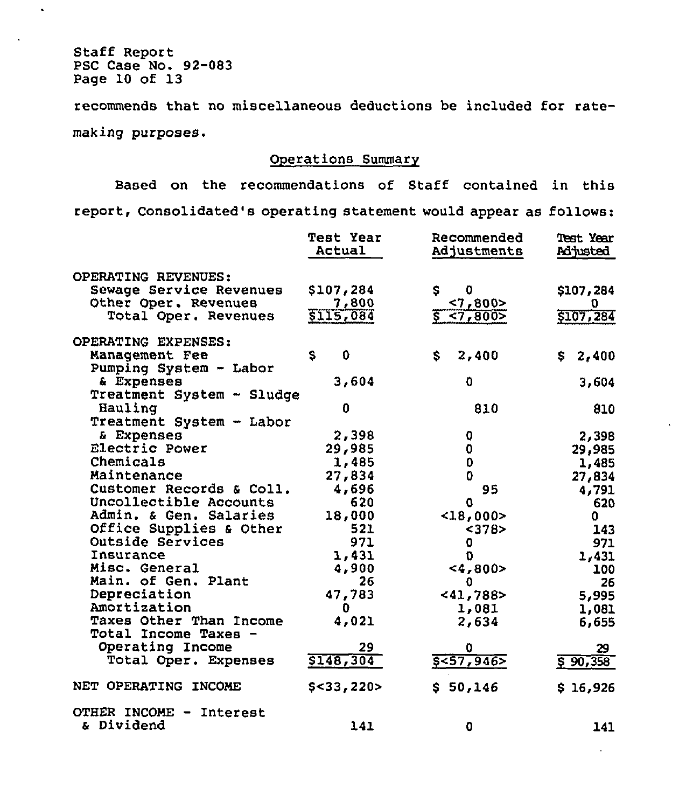Staff Report PSC Case No. 92-083 Page 10 of 13

 $\hat{\mathbf{z}}$ 

 $\blacksquare$ 

recommends that no miscellaneous deductions be included for ratemaking purposes.

# Operations Summary

Based on the recommendations of Staff contained in this report, Consolidated's operating statement would appear as follows:

|                                                                                                | <b>Test Year</b>                | Recommended                      | <b>Test Year</b>            |
|------------------------------------------------------------------------------------------------|---------------------------------|----------------------------------|-----------------------------|
|                                                                                                | Actual                          | Adjustments                      | <b>Adjusted</b>             |
| OPERATING REVENUES:<br>Sewage Service Revenues<br>Other Oper. Revenues<br>Total Oper. Revenues | \$107,284<br>7,800<br>\$115,084 | 0<br>\$<br>< 7,800<br>\$ < 7,800 | \$107,284<br>Ū<br>\$107,284 |
| OPERATING EXPENSES:<br>Management Fee<br>Pumping System - Labor                                | \$.<br>$\mathbf 0$              | \$<br>2,400                      | 2,400<br>S.                 |
| & Expenses<br>Treatment System - Sludge                                                        | 3,604                           | 0                                | 3,604                       |
| Hauling<br>Treatment System - Labor                                                            | 0                               | 810                              | 810                         |
| & Expenses                                                                                     | 2,398                           | 0                                | 2,398                       |
| Electric Power                                                                                 | 29,985                          | 0                                | 29,985                      |
| Chemicals                                                                                      | 1,485                           | 0                                | 1,485                       |
| Maintenance                                                                                    | 27,834                          | 0                                | 27,834                      |
| Customer Records & Coll.                                                                       | 4,696                           | 95                               | 4,791                       |
| Uncollectible Accounts                                                                         | 620                             | 0                                | 620                         |
| Admin. & Gen. Salaries                                                                         | 18,000                          | $<$ 18,000>                      | 0.                          |
| Office Supplies & Other                                                                        | 521                             | < 378                            | 143                         |
| Outside Services                                                                               | 971                             | 0                                | 971                         |
| Insurance                                                                                      | 1,431                           | 0                                | 1,431                       |
| Misc. General                                                                                  | 4,900                           | <4,800>                          | 100                         |
| Main. of Gen. Plant                                                                            | 26.                             | 0                                | 26                          |
| Depreciation                                                                                   | 47,783                          | < 41,788                         | 5,995                       |
| Amortization<br>Taxes Other Than Income<br>Total Income Taxes -                                | 0<br>4,021                      | 1,081<br>2,634                   | 1,081<br>6,655              |
| Operating Income                                                                               | 29                              | 0                                | 29                          |
| Total Oper. Expenses                                                                           | \$148,304                       | 5557,946                         | \$90,358                    |
| NET OPERATING INCOME                                                                           | $$<$ 33,220>                    | \$50,146                         | \$16,926                    |
| OTHER INCOME -<br>Interest<br>& Dividend                                                       | 141                             | 0                                | 141                         |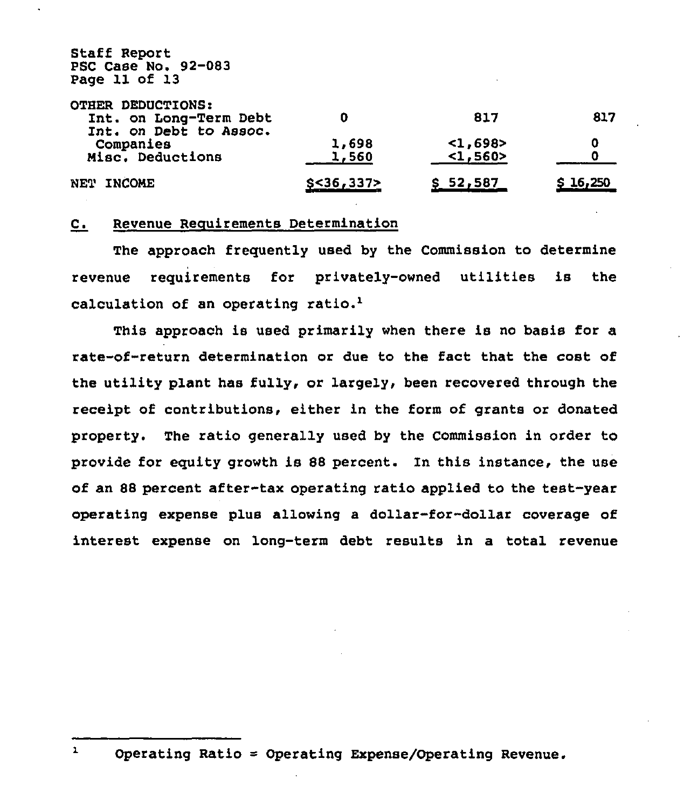Staff Report PSC Case No. 92-083 Page 11 of 13

| OTHER DEDUCTIONS:                                |              |           |          |
|--------------------------------------------------|--------------|-----------|----------|
| Int. on Long-Term Debt<br>Int. on Debt to Assoc. |              | 817       | 817      |
| Companies                                        | 1,698        | $1,698$   | П        |
| Misc. Deductions                                 | 1,560        | $1, 560>$ |          |
| NET INCOME                                       | $$<$ 36,337> | \$52,587  | \$16,250 |

# C. Revenue Reguirements Determination

The approach frequently used by the Commission to determine revenue requirements for privately-owned utilities is the calculation of an operating

This approach is used primarily when there is no basis for a rate-of-return determination or due to the fact that the cost of the utility plant has fully, or largely, been recovered through the receipt of contributions, either in the form of grants or donated property. The ratio generally used by the Commission in order to provide for eguity growth is 88 percent. In this instance, the use of an 88 percent after-tax operating ratio applied to the test-yeas operating expense plus allowing a dollar-for-dollar coverage of interest expense on long-term debt results in a total revenue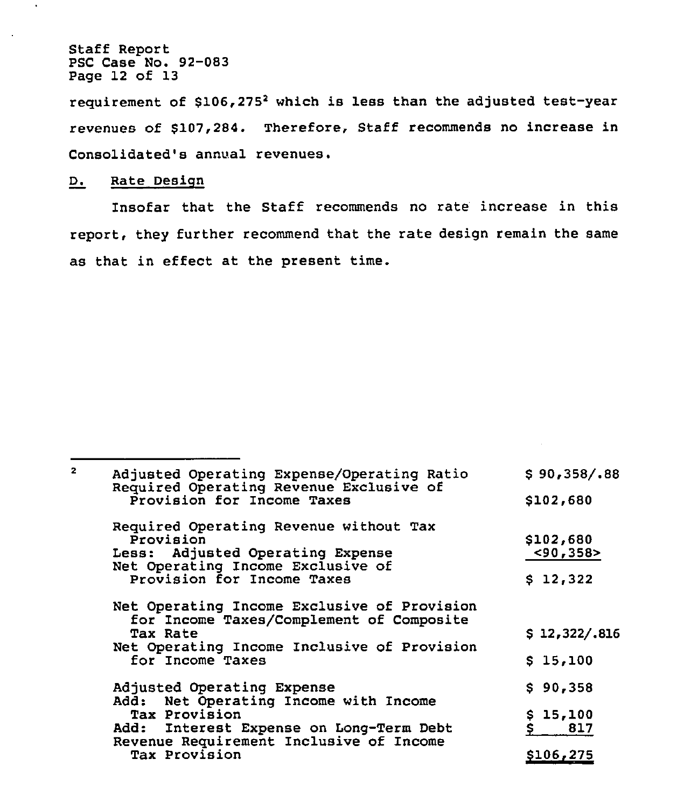Staff Report PSC Case No. 92-083 Page 12 of 13

 $\ddot{\phantom{0}}$ 

requirement of \$106,275<sup>2</sup> which is less than the adjusted test-year revenues of \$107,284. Therefore, Staff recommends no increase in Consolidated's annual revenues.

# D. Rate Design

Insofar that the Staff recommends no rate increase in this report, they further recommend that the rate design remain the same as that in effect at the present time.

| Adjusted Operating Expense/Operating Ratio<br>Required Operating Revenue Exclusive of               | \$90,358/.88     |
|-----------------------------------------------------------------------------------------------------|------------------|
| Provision for Income Taxes                                                                          | \$102,680        |
| Required Operating Revenue without Tax<br>Provision                                                 | \$102,680        |
| Less: Adjusted Operating Expense<br>Net Operating Income Exclusive of                               | < 90, 358        |
| Provision for Income Taxes                                                                          | \$12,322         |
| Net Operating Income Exclusive of Provision<br>for Income Taxes/Complement of Composite<br>Tax Rate | \$12,322/.816    |
| Net Operating Income Inclusive of Provision<br>for Income Taxes                                     | \$15,100         |
| Adjusted Operating Expense<br>Add: Net Operating Income with Income                                 | \$90,358         |
| Tax Provision<br>Add: Interest Expense on Long-Term Debt                                            | \$15,100<br>817  |
| Revenue Requirement Inclusive of Income<br>Tax Provision                                            | <b>\$106,275</b> |